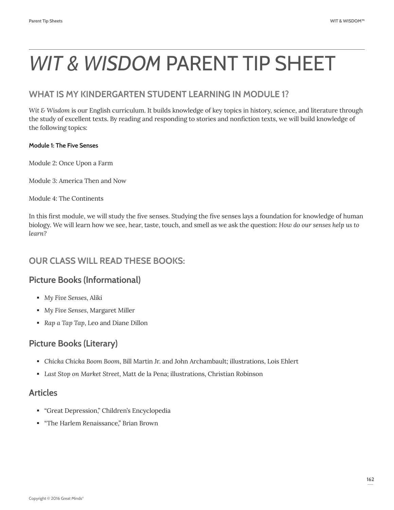# **WHAT IS MY KINDERGARTEN STUDENT LEARNING IN MODULE 1?**

*Wit & Wisdom* is our English curriculum. It builds knowledge of key topics in history, science, and literature through the study of excellent texts. By reading and responding to stories and nonfiction texts, we will build knowledge of the following topics:

#### **Module 1: The Five Senses**

Module 2: Once Upon a Farm

Module 3: America Then and Now

Module 4: The Continents

In this first module, we will study the five senses. Studying the five senses lays a foundation for knowledge of human biology. We will learn how we see, hear, taste, touch, and smell as we ask the question: *How do our senses help us to learn?* 

# **OUR CLASS WILL READ THESE BOOKS:**

# **Picture Books (Informational)**

- *My Five Senses*, Aliki
- *My Five Senses*, Margaret Miller
- *Rap a Tap Tap*, Leo and Diane Dillon

# **Picture Books (Literary)**

- *Chicka Chicka Boom Boom*, Bill Martin Jr. and John Archambault; illustrations, Lois Ehlert
- *Last Stop on Market Street*, Matt de la Pena; illustrations, Christian Robinson

## **Articles**

- "Great Depression," Children's Encyclopedia
- "The Harlem Renaissance," Brian Brown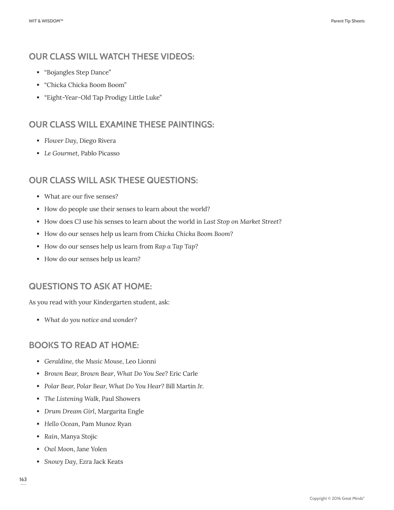# **OUR CLASS WILL WATCH THESE VIDEOS:**

- "Bojangles Step Dance"
- "Chicka Chicka Boom Boom"
- "Eight-Year-Old Tap Prodigy Little Luke"

# **OUR CLASS WILL EXAMINE THESE PAINTINGS:**

- *Flower Day*, Diego Rivera
- *Le Gourmet*, Pablo Picasso

# **OUR CLASS WILL ASK THESE QUESTIONS:**

- What are our five senses?
- How do people use their senses to learn about the world?
- How does CJ use his senses to learn about the world in *Last Stop on Market Street*?
- How do our senses help us learn from *Chicka Chicka Boom Boom*?
- How do our senses help us learn from *Rap a Tap Tap*?
- How do our senses help us learn?

# **QUESTIONS TO ASK AT HOME:**

As you read with your Kindergarten student, ask:

*What do you notice and wonder?*

# **BOOKS TO READ AT HOME:**

- *Geraldine, the Music Mouse*, Leo Lionni
- *Brown Bear, Brown Bear*, *What Do You See*? Eric Carle
- *Polar Bear, Polar Bear, What Do You Hear*? Bill Martin Jr.
- *The Listening Walk*, Paul Showers
- *Drum Dream Girl*, Margarita Engle
- *Hello Ocean*, Pam Munoz Ryan
- *Rain*, Manya Stojic
- *Owl Moon*, Jane Yolen
- *Snowy Day*, Ezra Jack Keats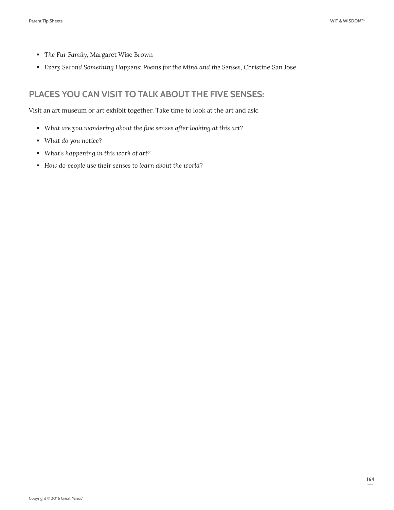- *The Fur Family*, Margaret Wise Brown
- *Every Second Something Happens: Poems for the Mind and the Senses*, Christine San Jose

# **PLACES YOU CAN VISIT TO TALK ABOUT THE FIVE SENSES:**

Visit an art museum or art exhibit together. Take time to look at the art and ask:

- *What are you wondering about the five senses after looking at this art?*
- *What do you notice?*
- *What's happening in this work of art?*
- *How do people use their senses to learn about the world?*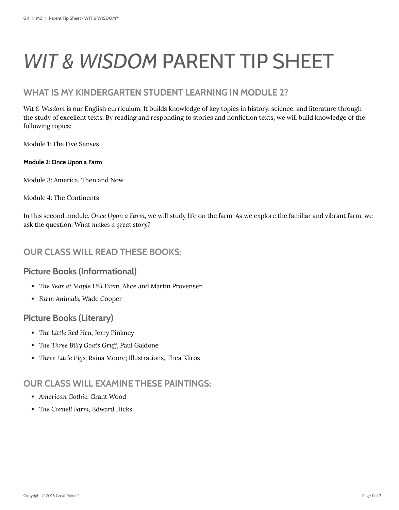# **WHAT IS MY KINDERGARTEN STUDENT LEARNING IN MODULE 2?**

*Wit & Wisdom* is our English curriculum. It builds knowledge of key topics in history, science, and literature through the study of excellent texts. By reading and responding to stories and nonfiction texts, we will build knowledge of the following topics:

Module 1: The Five Senses

#### **Module 2: Once Upon a Farm**

Module 3: America, Then and Now

Module 4: The Continents

In this second module, *Once Upon a Farm,* we will study life on the farm. As we explore the familiar and vibrant farm, we ask the question: *What makes a great story?* 

# **OUR CLASS WILL READ THESE BOOKS:**

### **Picture Books (Informational)**

- *The Year at Maple Hill Farm,* Alice and Martin Provensen
- *Farm Animals,* Wade Cooper

## **Picture Books (Literary)**

- *The Little Red Hen,* Jerry Pinkney
- *The Three Billy Goats Gruff, P*aul Galdone
- *Three Little Pigs,* Raina Moore; Illustrations, Thea Kliros

## **OUR CLASS WILL EXAMINE THESE PAINTINGS:**

- *American Gothic,* Grant Wood
- *The Cornell Farm,* Edward Hicks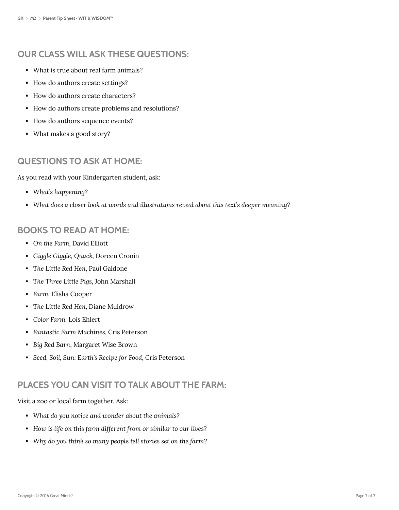# **OUR CLASS WILL ASK THESE QUESTIONS:**

- What is true about real farm animals?
- How do authors create settings?
- How do authors create characters?
- How do authors create problems and resolutions?
- How do authors sequence events?
- What makes a good story?

# **QUESTIONS TO ASK AT HOME:**

As you read with your Kindergarten student, ask:

- *What's happening?*
- *What does a closer look at words and illustrations reveal about this text's deeper meaning?*

# **BOOKS TO READ AT HOME:**

- *On the Farm,* David Elliott
- *Giggle Giggle, Quack,* Doreen Cronin
- *The Little Red Hen,* Paul Galdone
- *The Three Little Pigs,* John Marshall
- *Farm,* Elisha Cooper
- *The Little Red Hen,* Diane Muldrow
- *Color Farm,* Lois Ehlert
- *Fantastic Farm Machines,* Cris Peterson
- *Big Red Barn*, Margaret Wise Brown
- *Seed, Soil, Sun: Earth's Recipe for Food*, Cris Peterson

# **PLACES YOU CAN VISIT TO TALK ABOUT THE FARM:**

Visit a zoo or local farm together. Ask:

- *What do you notice and wonder about the animals?*
- *How is life on this farm different from or similar to our lives?*
- *Why do you think so many people tell stories set on the farm?*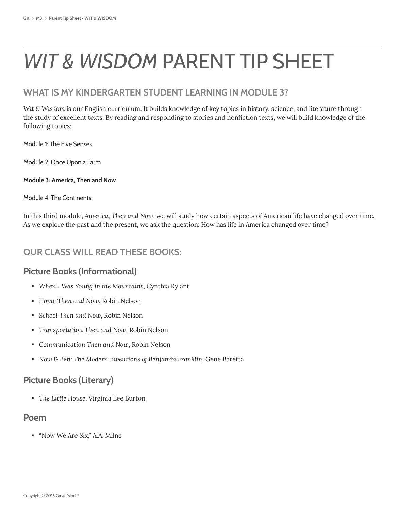# **WHAT IS MY KINDERGARTEN STUDENT LEARNING IN MODULE 3?**

*Wit & Wisdom* is our English curriculum. It builds knowledge of key topics in history, science, and literature through the study of excellent texts. By reading and responding to stories and nonfiction texts, we will build knowledge of the following topics:

Module 1: The Five Senses

Module 2: Once Upon a Farm

#### **Module 3: America, Then and Now**

#### Module 4: The Continents

In this third module, *America, Then and Now*, we will study how certain aspects of American life have changed over time. As we explore the past and the present, we ask the question: How has life in America changed over time?

# **OUR CLASS WILL READ THESE BOOKS:**

## **Picture Books (Informational)**

- *When I Was Young in the Mountains*, Cynthia Rylant
- *Home Then and Now*, Robin Nelson
- *School Then and Now*, Robin Nelson
- *Transportation Then and Now*, Robin Nelson
- *Communication Then and Now*, Robin Nelson
- *Now & Ben: The Modern Inventions of Benjamin Franklin*, Gene Baretta

# **Picture Books (Literary)**

*The Little House*, Virginia Lee Burton

### **Poem**

"Now We Are Six," A.A. Milne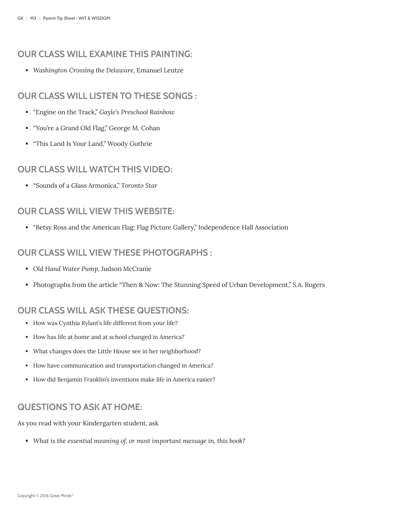## **OUR CLASS WILL EXAMINE THIS PAINTING:**

*Washington Crossing the Delaware*, Emanuel Leutze

## **OUR CLASS WILL LISTEN TO THESE SONGS :**

- "Engine on the Track," *Gayle's Preschool Rainbow*
- "You're a Grand Old Flag," George M. Cohan
- "This Land Is Your Land," Woody Guthrie

## **OUR CLASS WILL WATCH THIS VIDEO:**

"Sounds of a Glass Armonica," *Toronto Star*

## **OUR CLASS WILL VIEW THIS WEBSITE:**

"Betsy Ross and the American Flag: Flag Picture Gallery," Independence Hall Association

## **OUR CLASS WILL VIEW THESE PHOTOGRAPHS :**

- *Old Hand Water Pump*, Judson McCranie
- Photographs from the article "Then & Now: The Stunning Speed of Urban Development," S.A. Rogers

# **OUR CLASS WILL ASK THESE QUESTIONS:**

- How was Cynthia Rylant's life different from your life?
- How has life at home and at school changed in America?
- What changes does the Little House see in her neighborhood?
- How have communication and transportation changed in America?
- How did Benjamin Franklin's inventions make life in America easier?

# **QUESTIONS TO ASK AT HOME:**

As you read with your Kindergarten student, ask

*What is the essential meaning of, or most important message in, this book?*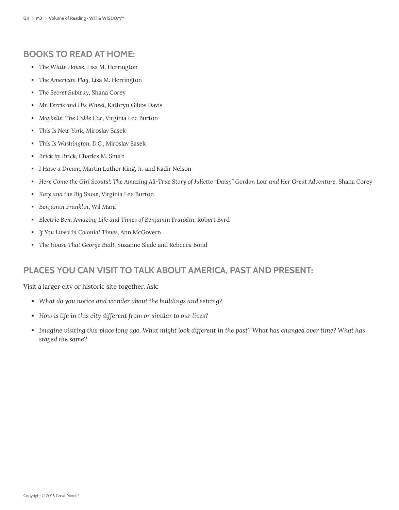# **BOOKS TO READ AT HOME:**

- *The White House*, Lisa M. Herrington
- *The American Flag*, Lisa M. Herrington
- *The Secret Subway*, Shana Corey
- *Mr. Ferris and His Wheel*, Kathryn Gibbs Davis
- *Maybelle: The Cable Car*, Virginia Lee Burton
- *This Is New York*, Miroslav Sasek
- *This Is Washington, D.C.*, Miroslav Sasek
- *Brick by Brick,* Charles M. Smith
- *I Have a Dream,* Martin Luther King, Jr. and Kadir Nelson
- **Here Come the Girl Scouts!: The Amazing All-True Story of Juliette "Daisy" Gordon Low and Her Great Adventure, Shana Corey**
- *Katy and the Big Snow*, Virginia Lee Burton
- *Benjamin Franklin*, Wil Mara
- *Electric Ben: Amazing Life and Times of Benjamin Franklin*, Robert Byrd
- *If You Lived in Colonial Times,* Ann McGovern
- *The House That George Built,* Suzanne Slade and Rebecca Bond

# **PLACES YOU CAN VISIT TO TALK ABOUT AMERICA, PAST AND PRESENT:**

Visit a larger city or historic site together. Ask:

- *What do you notice and wonder about the buildings and setting?*
- *How is life in this city different from or similar to our lives?*
- *Imagine visiting this place long ago. What might look different in the past? What has changed over time? What has stayed the same?*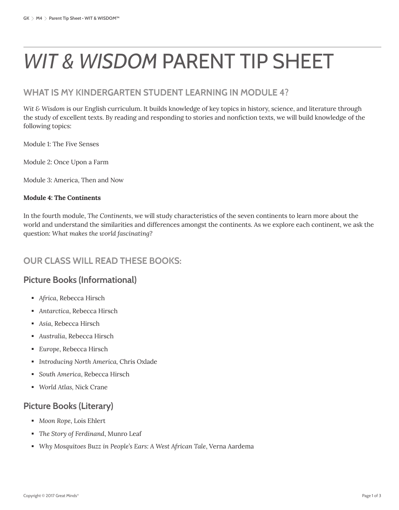# **WHAT IS MY KINDERGARTEN STUDENT LEARNING IN MODULE 4?**

*Wit & Wisdom* is our English curriculum. It builds knowledge of key topics in history, science, and literature through the study of excellent texts. By reading and responding to stories and nonfiction texts, we will build knowledge of the following topics:

Module 1: The Five Senses

Module 2: Once Upon a Farm

Module 3: America, Then and Now

#### **Module 4: The Continents**

In the fourth module, *The Continents*, we will study characteristics of the seven continents to learn more about the world and understand the similarities and differences amongst the continents. As we explore each continent, we ask the question: *What makes the world fascinating?*

# **OUR CLASS WILL READ THESE BOOKS:**

# **Picture Books (Informational)**

- *Africa*, Rebecca Hirsch
- *Antarctica*, Rebecca Hirsch
- *Asia*, Rebecca Hirsch
- *Australia*, Rebecca Hirsch
- *Europe*, Rebecca Hirsch
- *Introducing North America,* Chris Oxlade
- *South America*, Rebecca Hirsch
- *World Atlas,* Nick Crane

# **Picture Books (Literary)**

- *Moon Rope*, Lois Ehlert
- *The Story of Ferdinand*, Munro Leaf
- *Why Mosquitoes Buzz in People's Ears: A West African Tale*, Verna Aardema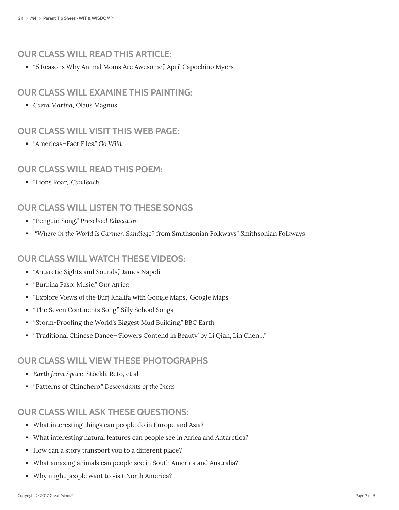# **OUR CLASS WILL READ THIS ARTICLE:**

"5 Reasons Why Animal Moms Are Awesome," April Capochino Myers

## **OUR CLASS WILL EXAMINE THIS PAINTING:**

*Carta Marina*, Olaus Magnus

## **OUR CLASS WILL VISIT THIS WEB PAGE:**

"Americas—Fact Files," *Go Wild*

## **OUR CLASS WILL READ THIS POEM:**

"Lions Roar," *CanTeach*

# **OUR CLASS WILL LISTEN TO THESE SONGS**

- "Penguin Song," *Preschool Education*
- *"Where in the World Is Carmen Sandiego?* from Smithsonian Folkways" Smithsonian Folkways

## **OUR CLASS WILL WATCH THESE VIDEOS:**

- "Antarctic Sights and Sounds," James Napoli
- "Burkina Faso: Music," *Our Africa*
- "Explore Views of the Burj Khalifa with Google Maps," Google Maps
- "The Seven Continents Song," Silly School Songs
- "Storm-Proofing the World's Biggest Mud Building," BBC Earth
- "Traditional Chinese Dance—'Flowers Contend in Beauty' by Li Qian, Lin Chen…"

## **OUR CLASS WILL VIEW THESE PHOTOGRAPHS**

- *Earth from Spac*e, Stöckli, Reto, et al.
- "Patterns of Chinchero," *Descendants of the Incas*

# **OUR CLASS WILL ASK THESE QUESTIONS:**

- What interesting things can people do in Europe and Asia?
- What interesting natural features can people see in Africa and Antarctica?
- How can a story transport you to a different place?
- What amazing animals can people see in South America and Australia?
- Why might people want to visit North America?